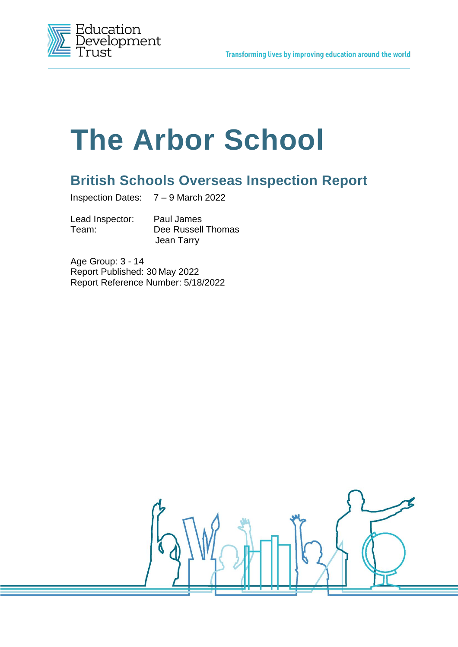

# **The Arbor School**

# **British Schools Overseas Inspection Report**

Inspection Dates: 7 – 9 March 2022

Lead Inspector: Paul James

Team: Dee Russell Thomas Jean Tarry

Age Group: 3 - 14 Report Published: 30 May 2022 Report Reference Number: 5/18/2022

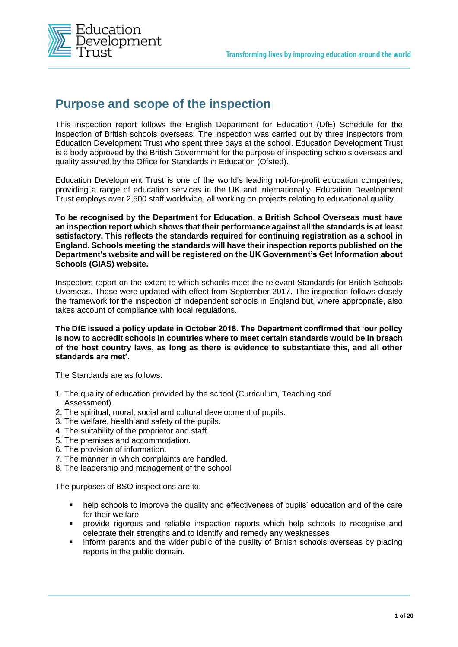

## **Purpose and scope of the inspection**

This inspection report follows the English Department for Education (DfE) Schedule for the inspection of British schools overseas*.* The inspection was carried out by three inspectors from Education Development Trust who spent three days at the school. Education Development Trust is a body approved by the British Government for the purpose of inspecting schools overseas and quality assured by the Office for Standards in Education (Ofsted).

Education Development Trust is one of the world's leading not-for-profit education companies, providing a range of education services in the UK and internationally. Education Development Trust employs over 2,500 staff worldwide, all working on projects relating to educational quality.

**To be recognised by the Department for Education, a British School Overseas must have an inspection report which shows that their performance against all the standards is at least satisfactory. This reflects the standards required for continuing registration as a school in England. Schools meeting the standards will have their inspection reports published on the Department's website and will be registered on the UK Government's Get Information about Schools (GIAS) website.** 

Inspectors report on the extent to which schools meet the relevant Standards for British Schools Overseas. These were updated with effect from September 2017. The inspection follows closely the framework for the inspection of independent schools in England but, where appropriate, also takes account of compliance with local regulations.

#### **The DfE issued a policy update in October 2018. The Department confirmed that 'our policy is now to accredit schools in countries where to meet certain standards would be in breach of the host country laws, as long as there is evidence to substantiate this, and all other standards are met'.**

The Standards are as follows:

- 1. The quality of education provided by the school (Curriculum, Teaching and Assessment).
- 2. The spiritual, moral, social and cultural development of pupils.
- 3. The welfare, health and safety of the pupils.
- 4. The suitability of the proprietor and staff.
- 5. The premises and accommodation.
- 6. The provision of information.
- 7. The manner in which complaints are handled.
- 8. The leadership and management of the school

The purposes of BSO inspections are to:

- help schools to improve the quality and effectiveness of pupils' education and of the care for their welfare
- provide rigorous and reliable inspection reports which help schools to recognise and celebrate their strengths and to identify and remedy any weaknesses
- **•** inform parents and the wider public of the quality of British schools overseas by placing reports in the public domain.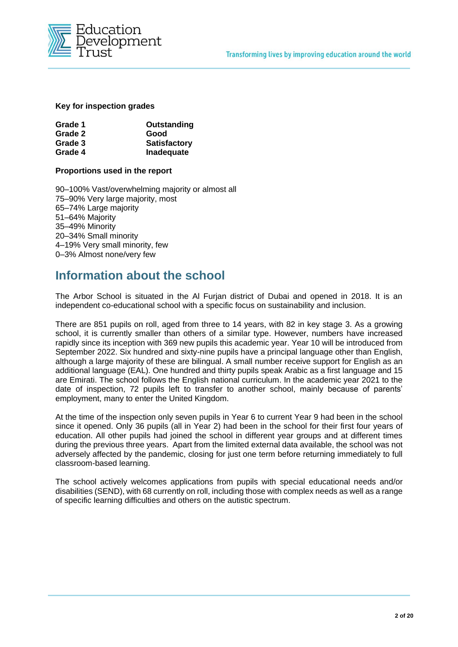

#### **Key for inspection grades**

| Grade 1 | Outstanding         |
|---------|---------------------|
| Grade 2 | Good                |
| Grade 3 | <b>Satisfactory</b> |
| Grade 4 | Inadequate          |

#### **Proportions used in the report**

90–100% Vast/overwhelming majority or almost all 75–90% Very large majority, most 65–74% Large majority 51–64% Majority 35–49% Minority 20–34% Small minority 4–19% Very small minority, few 0–3% Almost none/very few

#### **Information about the school**

The Arbor School is situated in the Al Furjan district of Dubai and opened in 2018. It is an independent co-educational school with a specific focus on sustainability and inclusion.

There are 851 pupils on roll, aged from three to 14 years, with 82 in key stage 3. As a growing school, it is currently smaller than others of a similar type. However, numbers have increased rapidly since its inception with 369 new pupils this academic year. Year 10 will be introduced from September 2022. Six hundred and sixty-nine pupils have a principal language other than English, although a large majority of these are bilingual. A small number receive support for English as an additional language (EAL). One hundred and thirty pupils speak Arabic as a first language and 15 are Emirati. The school follows the English national curriculum. In the academic year 2021 to the date of inspection, 72 pupils left to transfer to another school, mainly because of parents' employment, many to enter the United Kingdom.

At the time of the inspection only seven pupils in Year 6 to current Year 9 had been in the school since it opened. Only 36 pupils (all in Year 2) had been in the school for their first four years of education. All other pupils had joined the school in different year groups and at different times during the previous three years. Apart from the limited external data available, the school was not adversely affected by the pandemic, closing for just one term before returning immediately to full classroom-based learning.

The school actively welcomes applications from pupils with special educational needs and/or disabilities (SEND), with 68 currently on roll, including those with complex needs as well as a range of specific learning difficulties and others on the autistic spectrum.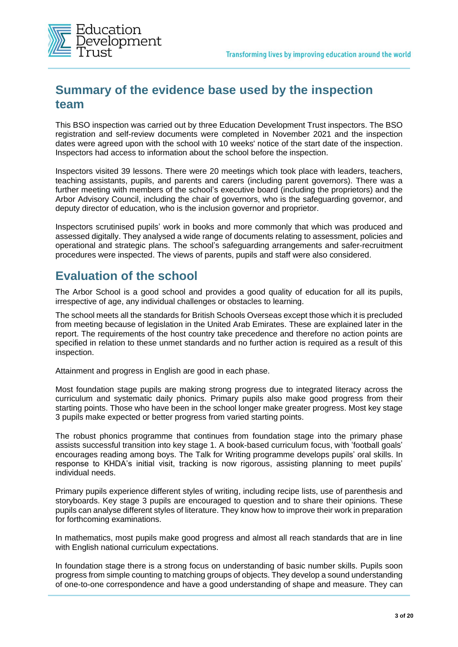

## **Summary of the evidence base used by the inspection team**

This BSO inspection was carried out by three Education Development Trust inspectors. The BSO registration and self-review documents were completed in November 2021 and the inspection dates were agreed upon with the school with 10 weeks' notice of the start date of the inspection. Inspectors had access to information about the school before the inspection.

Inspectors visited 39 lessons. There were 20 meetings which took place with leaders, teachers, teaching assistants, pupils, and parents and carers (including parent governors). There was a further meeting with members of the school's executive board (including the proprietors) and the Arbor Advisory Council, including the chair of governors, who is the safeguarding governor, and deputy director of education, who is the inclusion governor and proprietor.

Inspectors scrutinised pupils' work in books and more commonly that which was produced and assessed digitally. They analysed a wide range of documents relating to assessment, policies and operational and strategic plans. The school's safeguarding arrangements and safer-recruitment procedures were inspected. The views of parents, pupils and staff were also considered.

## **Evaluation of the school**

The Arbor School is a good school and provides a good quality of education for all its pupils, irrespective of age, any individual challenges or obstacles to learning.

The school meets all the standards for British Schools Overseas except those which it is precluded from meeting because of legislation in the United Arab Emirates. These are explained later in the report. The requirements of the host country take precedence and therefore no action points are specified in relation to these unmet standards and no further action is required as a result of this inspection.

Attainment and progress in English are good in each phase.

Most foundation stage pupils are making strong progress due to integrated literacy across the curriculum and systematic daily phonics. Primary pupils also make good progress from their starting points. Those who have been in the school longer make greater progress. Most key stage 3 pupils make expected or better progress from varied starting points.

The robust phonics programme that continues from foundation stage into the primary phase assists successful transition into key stage 1. A book-based curriculum focus, with 'football goals' encourages reading among boys. The Talk for Writing programme develops pupils' oral skills. In response to KHDA's initial visit, tracking is now rigorous, assisting planning to meet pupils' individual needs.

Primary pupils experience different styles of writing, including recipe lists, use of parenthesis and storyboards. Key stage 3 pupils are encouraged to question and to share their opinions. These pupils can analyse different styles of literature. They know how to improve their work in preparation for forthcoming examinations.

In mathematics, most pupils make good progress and almost all reach standards that are in line with English national curriculum expectations.

In foundation stage there is a strong focus on understanding of basic number skills. Pupils soon progress from simple counting to matching groups of objects. They develop a sound understanding of one-to-one correspondence and have a good understanding of shape and measure. They can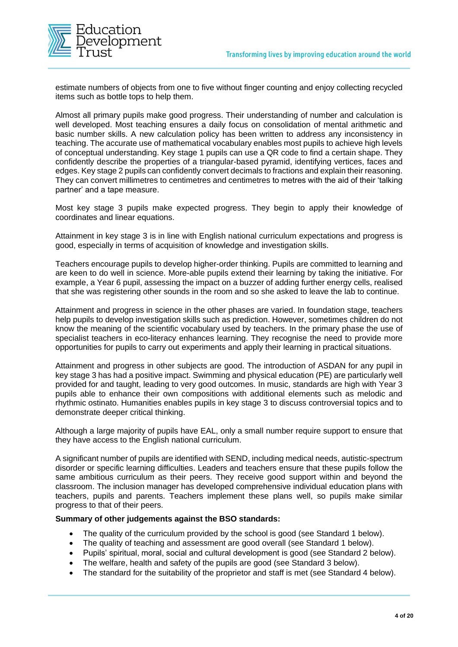

estimate numbers of objects from one to five without finger counting and enjoy collecting recycled items such as bottle tops to help them.

Almost all primary pupils make good progress. Their understanding of number and calculation is well developed. Most teaching ensures a daily focus on consolidation of mental arithmetic and basic number skills. A new calculation policy has been written to address any inconsistency in teaching. The accurate use of mathematical vocabulary enables most pupils to achieve high levels of conceptual understanding. Key stage 1 pupils can use a QR code to find a certain shape. They confidently describe the properties of a triangular-based pyramid, identifying vertices, faces and edges. Key stage 2 pupils can confidently convert decimals to fractions and explain their reasoning. They can convert millimetres to centimetres and centimetres to metres with the aid of their 'talking partner' and a tape measure.

Most key stage 3 pupils make expected progress. They begin to apply their knowledge of coordinates and linear equations.

Attainment in key stage 3 is in line with English national curriculum expectations and progress is good, especially in terms of acquisition of knowledge and investigation skills.

Teachers encourage pupils to develop higher-order thinking. Pupils are committed to learning and are keen to do well in science. More-able pupils extend their learning by taking the initiative. For example, a Year 6 pupil, assessing the impact on a buzzer of adding further energy cells, realised that she was registering other sounds in the room and so she asked to leave the lab to continue.

Attainment and progress in science in the other phases are varied. In foundation stage, teachers help pupils to develop investigation skills such as prediction. However, sometimes children do not know the meaning of the scientific vocabulary used by teachers. In the primary phase the use of specialist teachers in eco-literacy enhances learning. They recognise the need to provide more opportunities for pupils to carry out experiments and apply their learning in practical situations.

Attainment and progress in other subjects are good. The introduction of ASDAN for any pupil in key stage 3 has had a positive impact. Swimming and physical education (PE) are particularly well provided for and taught, leading to very good outcomes. In music, standards are high with Year 3 pupils able to enhance their own compositions with additional elements such as melodic and rhythmic ostinato. Humanities enables pupils in key stage 3 to discuss controversial topics and to demonstrate deeper critical thinking.

Although a large majority of pupils have EAL, only a small number require support to ensure that they have access to the English national curriculum.

A significant number of pupils are identified with SEND, including medical needs, autistic-spectrum disorder or specific learning difficulties. Leaders and teachers ensure that these pupils follow the same ambitious curriculum as their peers. They receive good support within and beyond the classroom. The inclusion manager has developed comprehensive individual education plans with teachers, pupils and parents. Teachers implement these plans well, so pupils make similar progress to that of their peers.

#### **Summary of other judgements against the BSO standards:**

- The quality of the curriculum provided by the school is good (see Standard 1 below).
- The quality of teaching and assessment are good overall (see Standard 1 below).
- Pupils' spiritual, moral, social and cultural development is good (see Standard 2 below).
- The welfare, health and safety of the pupils are good (see Standard 3 below).
- The standard for the suitability of the proprietor and staff is met (see Standard 4 below).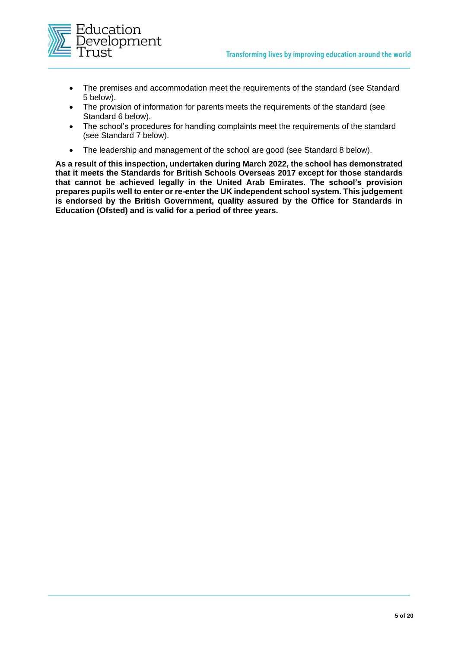

- The premises and accommodation meet the requirements of the standard (see Standard 5 below).
- The provision of information for parents meets the requirements of the standard (see Standard 6 below).
- The school's procedures for handling complaints meet the requirements of the standard (see Standard 7 below).
- The leadership and management of the school are good (see Standard 8 below).

**As a result of this inspection, undertaken during March 2022, the school has demonstrated that it meets the Standards for British Schools Overseas 2017 except for those standards that cannot be achieved legally in the United Arab Emirates. The school's provision prepares pupils well to enter or re-enter the UK independent school system. This judgement is endorsed by the British Government, quality assured by the Office for Standards in Education (Ofsted) and is valid for a period of three years.**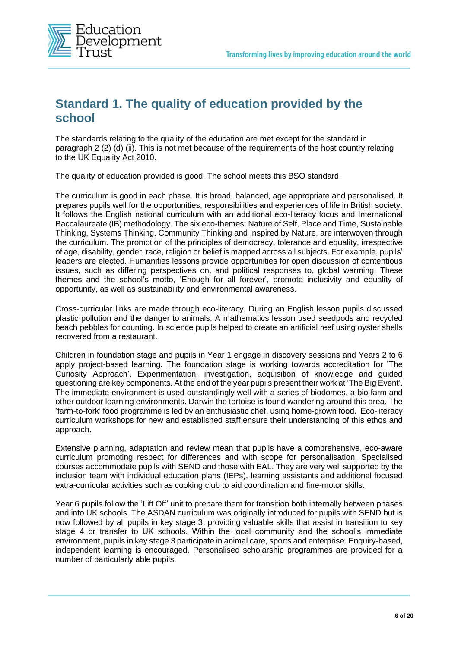

## **Standard 1. The quality of education provided by the school**

The standards relating to the quality of the education are met except for the standard in paragraph 2 (2) (d) (ii). This is not met because of the requirements of the host country relating to the UK Equality Act 2010.

The quality of education provided is good. The school meets this BSO standard.

The curriculum is good in each phase. It is broad, balanced, age appropriate and personalised. It prepares pupils well for the opportunities, responsibilities and experiences of life in British society. It follows the English national curriculum with an additional eco-literacy focus and International Baccalaureate (IB) methodology. The six eco-themes: Nature of Self, Place and Time, Sustainable Thinking, Systems Thinking, Community Thinking and Inspired by Nature, are interwoven through the curriculum. The promotion of the principles of democracy, tolerance and equality, irrespective of age, disability, gender, race, religion or belief is mapped across all subjects. For example, pupils' leaders are elected. Humanities lessons provide opportunities for open discussion of contentious issues, such as differing perspectives on, and political responses to, global warming. These themes and the school's motto, 'Enough for all forever', promote inclusivity and equality of opportunity, as well as sustainability and environmental awareness.

Cross-curricular links are made through eco-literacy. During an English lesson pupils discussed plastic pollution and the danger to animals. A mathematics lesson used seedpods and recycled beach pebbles for counting. In science pupils helped to create an artificial reef using oyster shells recovered from a restaurant.

Children in foundation stage and pupils in Year 1 engage in discovery sessions and Years 2 to 6 apply project-based learning. The foundation stage is working towards accreditation for 'The Curiosity Approach'. Experimentation, investigation, acquisition of knowledge and guided questioning are key components. At the end of the year pupils present their work at 'The Big Event'. The immediate environment is used outstandingly well with a series of biodomes, a bio farm and other outdoor learning environments. Darwin the tortoise is found wandering around this area. The 'farm-to-fork' food programme is led by an enthusiastic chef, using home-grown food. Eco-literacy curriculum workshops for new and established staff ensure their understanding of this ethos and approach.

Extensive planning, adaptation and review mean that pupils have a comprehensive, eco-aware curriculum promoting respect for differences and with scope for personalisation. Specialised courses accommodate pupils with SEND and those with EAL. They are very well supported by the inclusion team with individual education plans (IEPs), learning assistants and additional focused extra-curricular activities such as cooking club to aid coordination and fine-motor skills.

Year 6 pupils follow the 'Lift Off' unit to prepare them for transition both internally between phases and into UK schools. The ASDAN curriculum was originally introduced for pupils with SEND but is now followed by all pupils in key stage 3, providing valuable skills that assist in transition to key stage 4 or transfer to UK schools. Within the local community and the school's immediate environment, pupils in key stage 3 participate in animal care, sports and enterprise. Enquiry-based, independent learning is encouraged. Personalised scholarship programmes are provided for a number of particularly able pupils.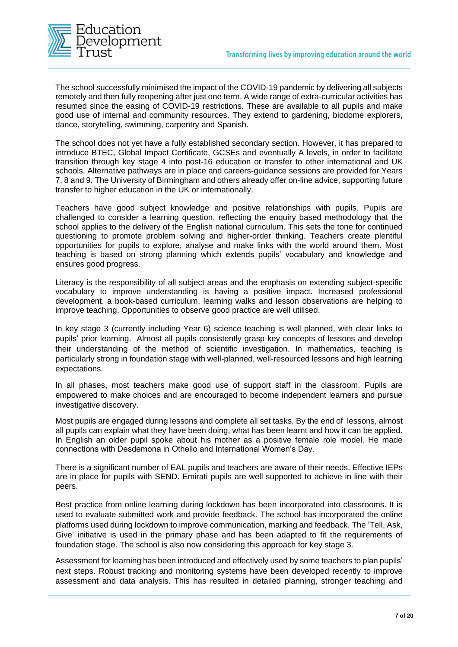

The school successfully minimised the impact of the COVID-19 pandemic by delivering all subjects remotely and then fully reopening after just one term. A wide range of extra-curricular activities has resumed since the easing of COVID-19 restrictions. These are available to all pupils and make good use of internal and community resources. They extend to gardening, biodome explorers, dance, storytelling, swimming, carpentry and Spanish.

The school does not yet have a fully established secondary section. However, it has prepared to introduce BTEC, Global Impact Certificate, GCSEs and eventually A levels, in order to facilitate transition through key stage 4 into post-16 education or transfer to other international and UK schools. Alternative pathways are in place and careers-guidance sessions are provided for Years 7, 8 and 9. The University of Birmingham and others already offer on-line advice, supporting future transfer to higher education in the UK or internationally.

Teachers have good subject knowledge and positive relationships with pupils. Pupils are challenged to consider a learning question, reflecting the enquiry based methodology that the school applies to the delivery of the English national curriculum. This sets the tone for continued questioning to promote problem solving and higher-order thinking. Teachers create plentiful opportunities for pupils to explore, analyse and make links with the world around them. Most teaching is based on strong planning which extends pupils' vocabulary and knowledge and ensures good progress.

Literacy is the responsibility of all subject areas and the emphasis on extending subject-specific vocabulary to improve understanding is having a positive impact. Increased professional development, a book-based curriculum, learning walks and lesson observations are helping to improve teaching. Opportunities to observe good practice are well utilised.

In key stage 3 (currently including Year 6) science teaching is well planned, with clear links to pupils' prior learning. Almost all pupils consistently grasp key concepts of lessons and develop their understanding of the method of scientific investigation. In mathematics, teaching is particularly strong in foundation stage with well-planned, well-resourced lessons and high learning expectations.

In all phases, most teachers make good use of support staff in the classroom. Pupils are empowered to make choices and are encouraged to become independent learners and pursue investigative discovery.

Most pupils are engaged during lessons and complete all set tasks. By the end of lessons, almost all pupils can explain what they have been doing, what has been learnt and how it can be applied. In English an older pupil spoke about his mother as a positive female role model. He made connections with Desdemona in Othello and International Women's Day.

There is a significant number of EAL pupils and teachers are aware of their needs. Effective IEPs are in place for pupils with SEND. Emirati pupils are well supported to achieve in line with their peers.

Best practice from online learning during lockdown has been incorporated into classrooms. It is used to evaluate submitted work and provide feedback. The school has incorporated the online platforms used during lockdown to improve communication, marking and feedback. The 'Tell, Ask, Give' initiative is used in the primary phase and has been adapted to fit the requirements of foundation stage. The school is also now considering this approach for key stage 3.

Assessment for learning has been introduced and effectively used by some teachers to plan pupils' next steps. Robust tracking and monitoring systems have been developed recently to improve assessment and data analysis. This has resulted in detailed planning, stronger teaching and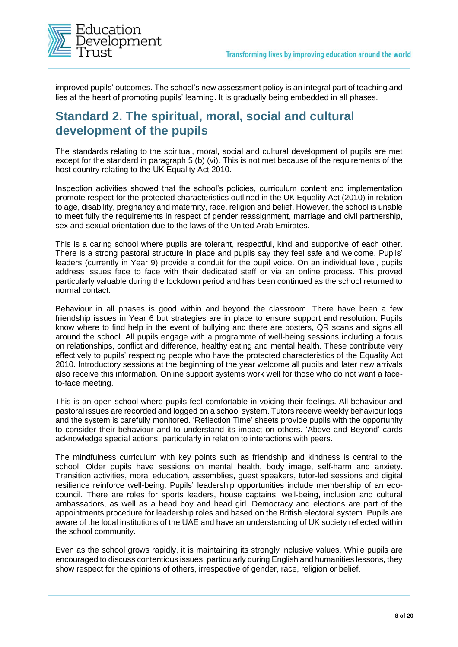

improved pupils' outcomes. The school's new assessment policy is an integral part of teaching and lies at the heart of promoting pupils' learning. It is gradually being embedded in all phases.

#### **Standard 2. The spiritual, moral, social and cultural development of the pupils**

The standards relating to the spiritual, moral, social and cultural development of pupils are met except for the standard in paragraph 5 (b) (vi). This is not met because of the requirements of the host country relating to the UK Equality Act 2010.

Inspection activities showed that the school's policies, curriculum content and implementation promote respect for the protected characteristics outlined in the UK Equality Act (2010) in relation to age, disability, pregnancy and maternity, race, religion and belief. However, the school is unable to meet fully the requirements in respect of gender reassignment, marriage and civil partnership, sex and sexual orientation due to the laws of the United Arab Emirates.

This is a caring school where pupils are tolerant, respectful, kind and supportive of each other. There is a strong pastoral structure in place and pupils say they feel safe and welcome. Pupils' leaders (currently in Year 9) provide a conduit for the pupil voice. On an individual level, pupils address issues face to face with their dedicated staff or via an online process. This proved particularly valuable during the lockdown period and has been continued as the school returned to normal contact.

Behaviour in all phases is good within and beyond the classroom. There have been a few friendship issues in Year 6 but strategies are in place to ensure support and resolution. Pupils know where to find help in the event of bullying and there are posters, QR scans and signs all around the school. All pupils engage with a programme of well-being sessions including a focus on relationships, conflict and difference, healthy eating and mental health. These contribute very effectively to pupils' respecting people who have the protected characteristics of the Equality Act 2010. Introductory sessions at the beginning of the year welcome all pupils and later new arrivals also receive this information. Online support systems work well for those who do not want a faceto-face meeting.

This is an open school where pupils feel comfortable in voicing their feelings. All behaviour and pastoral issues are recorded and logged on a school system. Tutors receive weekly behaviour logs and the system is carefully monitored. 'Reflection Time' sheets provide pupils with the opportunity to consider their behaviour and to understand its impact on others. 'Above and Beyond' cards acknowledge special actions, particularly in relation to interactions with peers.

The mindfulness curriculum with key points such as friendship and kindness is central to the school. Older pupils have sessions on mental health, body image, self-harm and anxiety. Transition activities, moral education, assemblies, guest speakers, tutor-led sessions and digital resilience reinforce well-being. Pupils' leadership opportunities include membership of an ecocouncil. There are roles for sports leaders, house captains, well-being, inclusion and cultural ambassadors, as well as a head boy and head girl. Democracy and elections are part of the appointments procedure for leadership roles and based on the British electoral system. Pupils are aware of the local institutions of the UAE and have an understanding of UK society reflected within the school community.

Even as the school grows rapidly, it is maintaining its strongly inclusive values. While pupils are encouraged to discuss contentious issues, particularly during English and humanities lessons, they show respect for the opinions of others, irrespective of gender, race, religion or belief.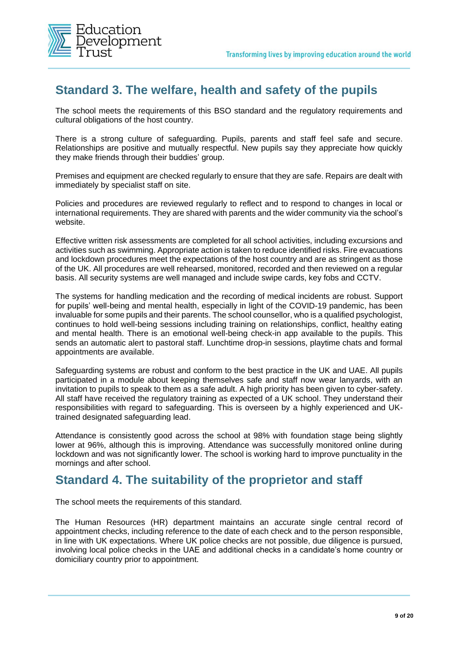

## **Standard 3. The welfare, health and safety of the pupils**

The school meets the requirements of this BSO standard and the regulatory requirements and cultural obligations of the host country.

There is a strong culture of safeguarding. Pupils, parents and staff feel safe and secure. Relationships are positive and mutually respectful. New pupils say they appreciate how quickly they make friends through their buddies' group.

Premises and equipment are checked regularly to ensure that they are safe. Repairs are dealt with immediately by specialist staff on site.

Policies and procedures are reviewed regularly to reflect and to respond to changes in local or international requirements. They are shared with parents and the wider community via the school's website.

Effective written risk assessments are completed for all school activities, including excursions and activities such as swimming. Appropriate action is taken to reduce identified risks. Fire evacuations and lockdown procedures meet the expectations of the host country and are as stringent as those of the UK. All procedures are well rehearsed, monitored, recorded and then reviewed on a regular basis. All security systems are well managed and include swipe cards, key fobs and CCTV.

The systems for handling medication and the recording of medical incidents are robust. Support for pupils' well-being and mental health, especially in light of the COVID-19 pandemic, has been invaluable for some pupils and their parents. The school counsellor, who is a qualified psychologist, continues to hold well-being sessions including training on relationships, conflict, healthy eating and mental health. There is an emotional well-being check-in app available to the pupils. This sends an automatic alert to pastoral staff. Lunchtime drop-in sessions, playtime chats and formal appointments are available.

Safeguarding systems are robust and conform to the best practice in the UK and UAE. All pupils participated in a module about keeping themselves safe and staff now wear lanyards, with an invitation to pupils to speak to them as a safe adult. A high priority has been given to cyber-safety. All staff have received the regulatory training as expected of a UK school. They understand their responsibilities with regard to safeguarding. This is overseen by a highly experienced and UKtrained designated safeguarding lead.

Attendance is consistently good across the school at 98% with foundation stage being slightly lower at 96%, although this is improving. Attendance was successfully monitored online during lockdown and was not significantly lower. The school is working hard to improve punctuality in the mornings and after school.

#### **Standard 4. The suitability of the proprietor and staff**

The school meets the requirements of this standard.

The Human Resources (HR) department maintains an accurate single central record of appointment checks, including reference to the date of each check and to the person responsible, in line with UK expectations. Where UK police checks are not possible, due diligence is pursued, involving local police checks in the UAE and additional checks in a candidate's home country or domiciliary country prior to appointment.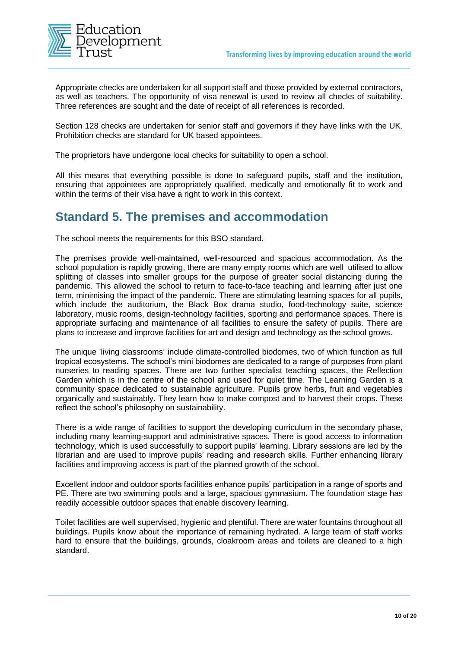

Appropriate checks are undertaken for all support staff and those provided by external contractors, as well as teachers. The opportunity of visa renewal is used to review all checks of suitability. Three references are sought and the date of receipt of all references is recorded.

Section 128 checks are undertaken for senior staff and governors if they have links with the UK. Prohibition checks are standard for UK based appointees.

The proprietors have undergone local checks for suitability to open a school.

All this means that everything possible is done to safeguard pupils, staff and the institution, ensuring that appointees are appropriately qualified, medically and emotionally fit to work and within the terms of their visa have a right to work in this context.

## **Standard 5. The premises and accommodation**

The school meets the requirements for this BSO standard.

The premises provide well-maintained, well-resourced and spacious accommodation. As the school population is rapidly growing, there are many empty rooms which are well utilised to allow splitting of classes into smaller groups for the purpose of greater social distancing during the pandemic. This allowed the school to return to face-to-face teaching and learning after just one term, minimising the impact of the pandemic. There are stimulating learning spaces for all pupils, which include the auditorium, the Black Box drama studio, food-technology suite, science laboratory, music rooms, design-technology facilities, sporting and performance spaces. There is appropriate surfacing and maintenance of all facilities to ensure the safety of pupils. There are plans to increase and improve facilities for art and design and technology as the school grows.

The unique 'living classrooms' include climate-controlled biodomes, two of which function as full tropical ecosystems. The school's mini biodomes are dedicated to a range of purposes from plant nurseries to reading spaces. There are two further specialist teaching spaces, the Reflection Garden which is in the centre of the school and used for quiet time. The Learning Garden is a community space dedicated to sustainable agriculture. Pupils grow herbs, fruit and vegetables organically and sustainably. They learn how to make compost and to harvest their crops. These reflect the school's philosophy on sustainability.

There is a wide range of facilities to support the developing curriculum in the secondary phase, including many learning-support and administrative spaces. There is good access to information technology, which is used successfully to support pupils' learning. Library sessions are led by the librarian and are used to improve pupils' reading and research skills. Further enhancing library facilities and improving access is part of the planned growth of the school.

Excellent indoor and outdoor sports facilities enhance pupils' participation in a range of sports and PE. There are two swimming pools and a large, spacious gymnasium. The foundation stage has readily accessible outdoor spaces that enable discovery learning.

Toilet facilities are well supervised, hygienic and plentiful. There are water fountains throughout all buildings. Pupils know about the importance of remaining hydrated. A large team of staff works hard to ensure that the buildings, grounds, cloakroom areas and toilets are cleaned to a high standard.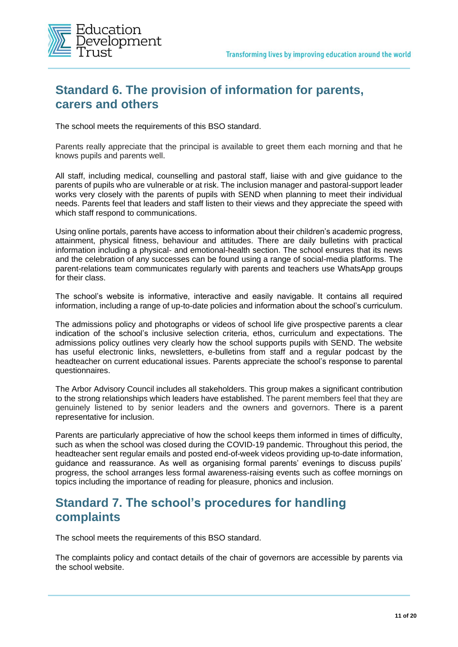

## **Standard 6. The provision of information for parents, carers and others**

The school meets the requirements of this BSO standard.

Parents really appreciate that the principal is available to greet them each morning and that he knows pupils and parents well.

All staff, including medical, counselling and pastoral staff, liaise with and give guidance to the parents of pupils who are vulnerable or at risk. The inclusion manager and pastoral-support leader works very closely with the parents of pupils with SEND when planning to meet their individual needs. Parents feel that leaders and staff listen to their views and they appreciate the speed with which staff respond to communications.

Using online portals, parents have access to information about their children's academic progress, attainment, physical fitness, behaviour and attitudes. There are daily bulletins with practical information including a physical- and emotional-health section. The school ensures that its news and the celebration of any successes can be found using a range of social-media platforms. The parent-relations team communicates regularly with parents and teachers use WhatsApp groups for their class.

The school's website is informative, interactive and easily navigable. It contains all required information, including a range of up-to-date policies and information about the school's curriculum.

The admissions policy and photographs or videos of school life give prospective parents a clear indication of the school's inclusive selection criteria, ethos, curriculum and expectations. The admissions policy outlines very clearly how the school supports pupils with SEND. The website has useful electronic links, newsletters, e-bulletins from staff and a regular podcast by the headteacher on current educational issues. Parents appreciate the school's response to parental questionnaires.

The Arbor Advisory Council includes all stakeholders. This group makes a significant contribution to the strong relationships which leaders have established. The parent members feel that they are genuinely listened to by senior leaders and the owners and governors. There is a parent representative for inclusion.

Parents are particularly appreciative of how the school keeps them informed in times of difficulty, such as when the school was closed during the COVID-19 pandemic. Throughout this period, the headteacher sent regular emails and posted end-of-week videos providing up-to-date information, guidance and reassurance. As well as organising formal parents' evenings to discuss pupils' progress, the school arranges less formal awareness-raising events such as coffee mornings on topics including the importance of reading for pleasure, phonics and inclusion.

## **Standard 7. The school's procedures for handling complaints**

The school meets the requirements of this BSO standard.

The complaints policy and contact details of the chair of governors are accessible by parents via the school website.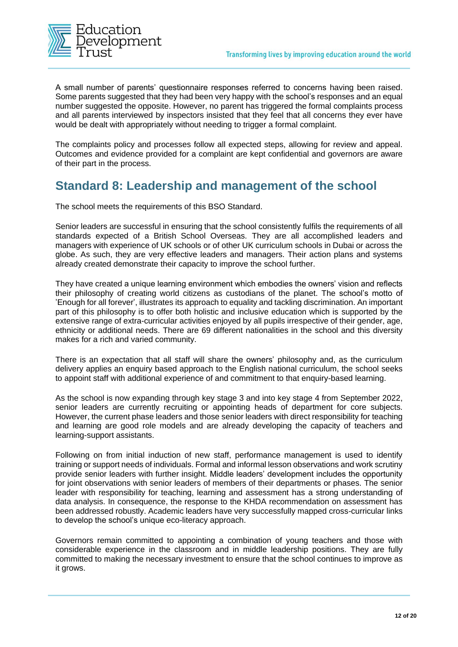

A small number of parents' questionnaire responses referred to concerns having been raised. Some parents suggested that they had been very happy with the school's responses and an equal number suggested the opposite. However, no parent has triggered the formal complaints process and all parents interviewed by inspectors insisted that they feel that all concerns they ever have would be dealt with appropriately without needing to trigger a formal complaint.

The complaints policy and processes follow all expected steps, allowing for review and appeal. Outcomes and evidence provided for a complaint are kept confidential and governors are aware of their part in the process.

## **Standard 8: Leadership and management of the school**

The school meets the requirements of this BSO Standard.

Senior leaders are successful in ensuring that the school consistently fulfils the requirements of all standards expected of a British School Overseas. They are all accomplished leaders and managers with experience of UK schools or of other UK curriculum schools in Dubai or across the globe. As such, they are very effective leaders and managers. Their action plans and systems already created demonstrate their capacity to improve the school further.

They have created a unique learning environment which embodies the owners' vision and reflects their philosophy of creating world citizens as custodians of the planet. The school's motto of 'Enough for all forever', illustrates its approach to equality and tackling discrimination. An important part of this philosophy is to offer both holistic and inclusive education which is supported by the extensive range of extra-curricular activities enjoyed by all pupils irrespective of their gender, age, ethnicity or additional needs. There are 69 different nationalities in the school and this diversity makes for a rich and varied community.

There is an expectation that all staff will share the owners' philosophy and, as the curriculum delivery applies an enquiry based approach to the English national curriculum, the school seeks to appoint staff with additional experience of and commitment to that enquiry-based learning.

As the school is now expanding through key stage 3 and into key stage 4 from September 2022, senior leaders are currently recruiting or appointing heads of department for core subjects. However, the current phase leaders and those senior leaders with direct responsibility for teaching and learning are good role models and are already developing the capacity of teachers and learning-support assistants.

Following on from initial induction of new staff, performance management is used to identify training or support needs of individuals. Formal and informal lesson observations and work scrutiny provide senior leaders with further insight. Middle leaders' development includes the opportunity for joint observations with senior leaders of members of their departments or phases. The senior leader with responsibility for teaching, learning and assessment has a strong understanding of data analysis. In consequence, the response to the KHDA recommendation on assessment has been addressed robustly. Academic leaders have very successfully mapped cross-curricular links to develop the school's unique eco-literacy approach.

Governors remain committed to appointing a combination of young teachers and those with considerable experience in the classroom and in middle leadership positions. They are fully committed to making the necessary investment to ensure that the school continues to improve as it grows.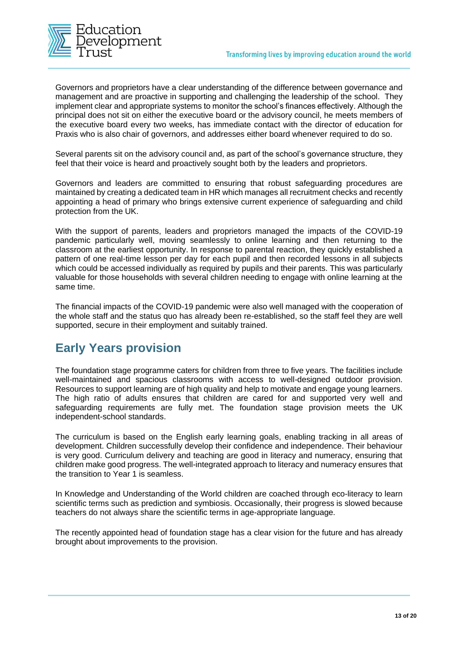

Governors and proprietors have a clear understanding of the difference between governance and management and are proactive in supporting and challenging the leadership of the school. They implement clear and appropriate systems to monitor the school's finances effectively. Although the principal does not sit on either the executive board or the advisory council, he meets members of the executive board every two weeks, has immediate contact with the director of education for Praxis who is also chair of governors, and addresses either board whenever required to do so.

Several parents sit on the advisory council and, as part of the school's governance structure, they feel that their voice is heard and proactively sought both by the leaders and proprietors.

Governors and leaders are committed to ensuring that robust safeguarding procedures are maintained by creating a dedicated team in HR which manages all recruitment checks and recently appointing a head of primary who brings extensive current experience of safeguarding and child protection from the UK.

With the support of parents, leaders and proprietors managed the impacts of the COVID-19 pandemic particularly well, moving seamlessly to online learning and then returning to the classroom at the earliest opportunity. In response to parental reaction, they quickly established a pattern of one real-time lesson per day for each pupil and then recorded lessons in all subjects which could be accessed individually as required by pupils and their parents. This was particularly valuable for those households with several children needing to engage with online learning at the same time.

The financial impacts of the COVID-19 pandemic were also well managed with the cooperation of the whole staff and the status quo has already been re-established, so the staff feel they are well supported, secure in their employment and suitably trained.

# **Early Years provision**

The foundation stage programme caters for children from three to five years. The facilities include well-maintained and spacious classrooms with access to well-designed outdoor provision. Resources to support learning are of high quality and help to motivate and engage young learners. The high ratio of adults ensures that children are cared for and supported very well and safeguarding requirements are fully met. The foundation stage provision meets the UK independent-school standards.

The curriculum is based on the English early learning goals, enabling tracking in all areas of development. Children successfully develop their confidence and independence. Their behaviour is very good. Curriculum delivery and teaching are good in literacy and numeracy, ensuring that children make good progress. The well-integrated approach to literacy and numeracy ensures that the transition to Year 1 is seamless.

In Knowledge and Understanding of the World children are coached through eco-literacy to learn scientific terms such as prediction and symbiosis. Occasionally, their progress is slowed because teachers do not always share the scientific terms in age-appropriate language.

The recently appointed head of foundation stage has a clear vision for the future and has already brought about improvements to the provision.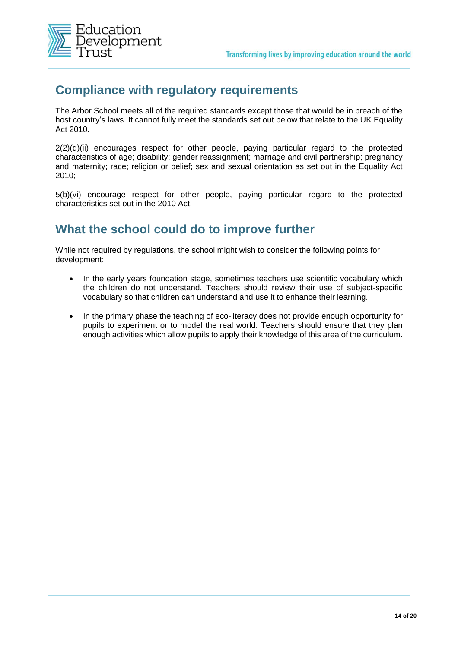

## **Compliance with regulatory requirements**

The Arbor School meets all of the required standards except those that would be in breach of the host country's laws. It cannot fully meet the standards set out below that relate to the UK Equality Act 2010.

 $2(2)(d)(ii)$  encourages respect for other people, paying particular regard to the protected characteristics of age; disability; gender reassignment; marriage and civil partnership; pregnancy and maternity; race; religion or belief; sex and sexual orientation as set out in the Equality Act 2010;

5(b)(vi) encourage respect for other people, paying particular regard to the protected characteristics set out in the 2010 Act.

## **What the school could do to improve further**

While not required by regulations, the school might wish to consider the following points for development:

- In the early years foundation stage, sometimes teachers use scientific vocabulary which the children do not understand. Teachers should review their use of subject-specific vocabulary so that children can understand and use it to enhance their learning.
- In the primary phase the teaching of eco-literacy does not provide enough opportunity for pupils to experiment or to model the real world. Teachers should ensure that they plan enough activities which allow pupils to apply their knowledge of this area of the curriculum.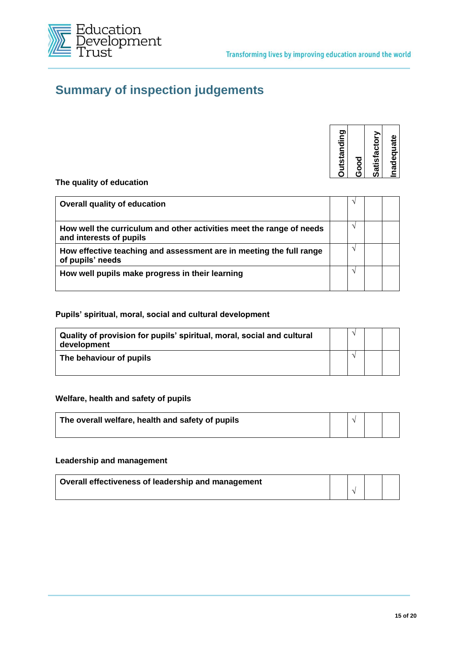

# **Summary of inspection judgements**



#### **The quality of education**

| Overall quality of education                                                                    |  |  |
|-------------------------------------------------------------------------------------------------|--|--|
| How well the curriculum and other activities meet the range of needs<br>and interests of pupils |  |  |
| How effective teaching and assessment are in meeting the full range<br>of pupils' needs         |  |  |
| How well pupils make progress in their learning                                                 |  |  |

#### **Pupils' spiritual, moral, social and cultural development**

| Quality of provision for pupils' spiritual, moral, social and cultural<br>development |  |  |
|---------------------------------------------------------------------------------------|--|--|
| The behaviour of pupils                                                               |  |  |

#### **Welfare, health and safety of pupils**

| The overall welfare, health and safety of pupils |  |  |
|--------------------------------------------------|--|--|
|                                                  |  |  |

#### **Leadership and management**

| Overall effectiveness of leadership and management |  |  |
|----------------------------------------------------|--|--|
|                                                    |  |  |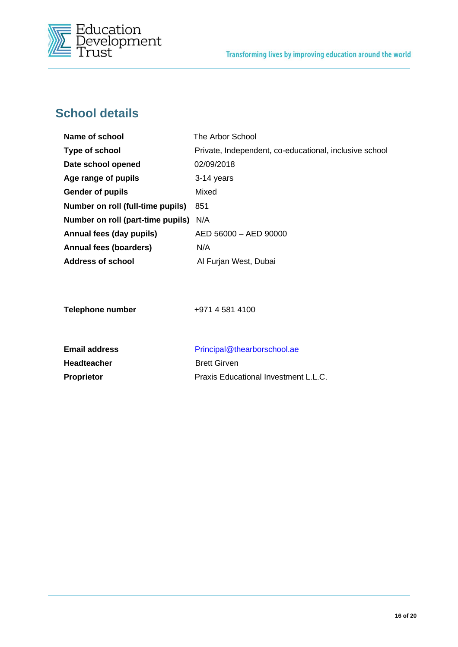

# **School details**

| Name of school                    | The Arbor School                                       |
|-----------------------------------|--------------------------------------------------------|
| Type of school                    | Private, Independent, co-educational, inclusive school |
| Date school opened                | 02/09/2018                                             |
| Age range of pupils               | 3-14 years                                             |
| <b>Gender of pupils</b>           | Mixed                                                  |
| Number on roll (full-time pupils) | 851                                                    |
| Number on roll (part-time pupils) | N/A                                                    |
| Annual fees (day pupils)          | AED 56000 - AED 90000                                  |
| Annual fees (boarders)            | N/A                                                    |
| Address of school                 | Al Furjan West, Dubai                                  |

**Telephone number**  $+971 4 581 4100$ 

| <b>Email address</b> |  |
|----------------------|--|
| <b>Headteacher</b>   |  |
| <b>Proprietor</b>    |  |

**[Principal@thearborschool.ae](mailto:Principal@thearborschool.ae) Brett Girven** Praxis Educational Investment L.L.C.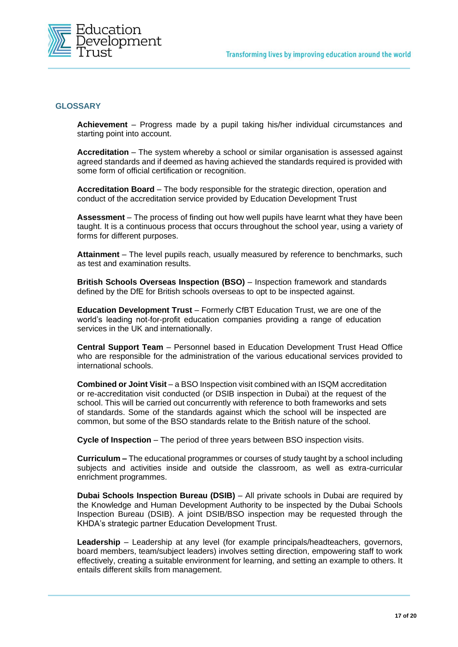

#### **GLOSSARY**

**Achievement** – Progress made by a pupil taking his/her individual circumstances and starting point into account.

**Accreditation** – The system whereby a school or similar organisation is assessed against agreed standards and if deemed as having achieved the standards required is provided with some form of official certification or recognition.

**Accreditation Board** – The body responsible for the strategic direction, operation and conduct of the accreditation service provided by Education Development Trust

**Assessment** – The process of finding out how well pupils have learnt what they have been taught. It is a continuous process that occurs throughout the school year, using a variety of forms for different purposes.

**Attainment** – The level pupils reach, usually measured by reference to benchmarks, such as test and examination results.

**British Schools Overseas Inspection (BSO)** – Inspection framework and standards defined by the DfE for British schools overseas to opt to be inspected against.

**Education Development Trust** – Formerly CfBT Education Trust, we are one of the world's leading not-for-profit education companies providing a range of education services in the UK and internationally.

**Central Support Team** – Personnel based in Education Development Trust Head Office who are responsible for the administration of the various educational services provided to international schools.

**Combined or Joint Visit** – a BSO Inspection visit combined with an ISQM accreditation or re-accreditation visit conducted (or DSIB inspection in Dubai) at the request of the school. This will be carried out concurrently with reference to both frameworks and sets of standards. Some of the standards against which the school will be inspected are common, but some of the BSO standards relate to the British nature of the school.

**Cycle of Inspection** – The period of three years between BSO inspection visits.

**Curriculum –** The educational programmes or courses of study taught by a school including subjects and activities inside and outside the classroom, as well as extra-curricular enrichment programmes.

**Dubai Schools Inspection Bureau (DSIB)** – All private schools in Dubai are required by the Knowledge and Human Development Authority to be inspected by the Dubai Schools Inspection Bureau (DSIB). A joint DSIB/BSO inspection may be requested through the KHDA's strategic partner Education Development Trust.

**Leadership** – Leadership at any level (for example principals/headteachers, governors, board members, team/subject leaders) involves setting direction, empowering staff to work effectively, creating a suitable environment for learning, and setting an example to others. It entails different skills from management.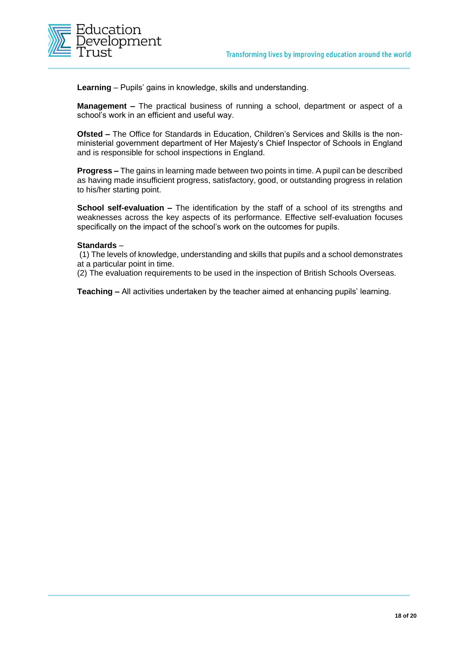

**Learning** – Pupils' gains in knowledge, skills and understanding.

**Management –** The practical business of running a school, department or aspect of a school's work in an efficient and useful way.

**Ofsted –** The Office for Standards in Education, Children's Services and Skills is the nonministerial government department of Her Majesty's Chief Inspector of Schools in England and is responsible for school inspections in England.

**Progress –** The gains in learning made between two points in time. A pupil can be described as having made insufficient progress, satisfactory, good, or outstanding progress in relation to his/her starting point.

**School self-evaluation –** The identification by the staff of a school of its strengths and weaknesses across the key aspects of its performance. Effective self-evaluation focuses specifically on the impact of the school's work on the outcomes for pupils.

#### **Standards** –

(1) The levels of knowledge, understanding and skills that pupils and a school demonstrates at a particular point in time.

(2) The evaluation requirements to be used in the inspection of British Schools Overseas.

**Teaching –** All activities undertaken by the teacher aimed at enhancing pupils' learning.